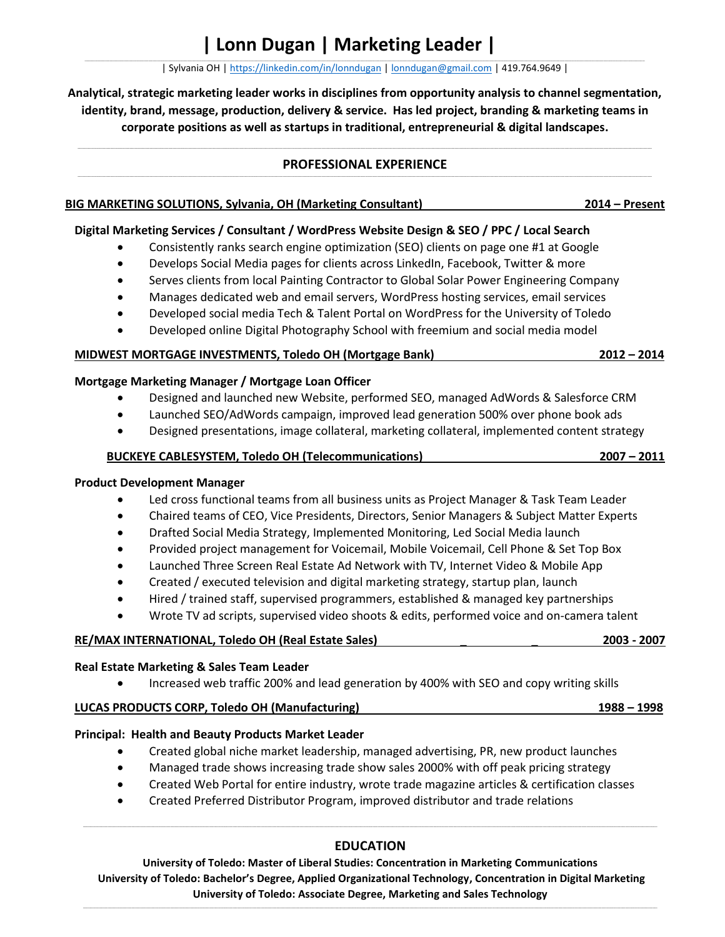**\_\_\_\_\_\_\_\_\_\_\_\_\_\_\_\_\_\_\_\_\_\_\_\_\_\_\_\_\_\_\_\_\_\_\_\_\_\_\_\_\_\_\_\_\_\_\_\_\_\_\_\_\_\_\_\_\_\_\_\_\_\_\_\_\_\_\_\_\_\_\_\_\_\_\_\_\_\_\_\_\_\_\_\_\_\_\_\_\_\_\_\_\_\_\_\_\_\_\_\_\_\_\_\_\_\_\_\_\_\_\_\_\_\_\_\_\_\_\_\_\_\_\_\_\_\_\_\_\_\_\_\_\_\_\_\_\_\_\_\_\_\_\_\_\_\_\_\_\_\_\_\_\_\_\_\_\_\_\_\_\_\_\_\_\_\_\_\_\_\_\_\_\_\_\_\_\_\_\_\_\_\_\_\_\_\_\_\_\_\_\_\_\_\_\_\_\_\_\_\_\_\_\_\_\_\_\_\_\_\_\_\_\_\_\_\_\_\_\_\_\_\_\_\_\_\_\_\_\_\_\_\_\_\_\_\_\_\_\_\_\_\_\_\_\_\_\_\_\_\_\_\_\_\_\_\_\_\_\_\_\_\_\_\_\_\_\_\_\_\_\_\_\_\_\_\_\_\_\_\_\_\_\_\_\_\_\_\_\_\_\_\_\_\_\_\_\_\_\_\_\_\_\_\_\_\_\_\_\_\_\_\_\_\_\_\_\_\_\_\_\_\_\_\_\_\_\_\_\_\_\_\_\_\_\_\_\_\_\_\_\_\_\_\_\_\_\_\_\_\_\_\_\_\_\_\_\_\_\_\_\_\_\_\_\_\_\_\_\_\_\_\_\_\_\_\_\_\_\_\_\_\_\_\_\_\_\_\_\_\_\_\_\_\_\_\_\_\_\_\_\_\_\_\_\_\_\_\_\_\_\_\_\_\_\_\_\_\_\_\_\_\_\_\_\_\_\_\_\_\_\_\_\_\_\_\_\_\_\_\_\_\_\_\_\_\_\_\_\_\_\_\_\_\_\_\_\_\_\_\_\_\_\_\_\_\_\_\_\_\_\_\_\_\_\_** | Sylvania OH [| https://linkedin.com/in/lonndugan](https://linkedin.com/in/lonndugan) | [lonndugan@gmail.com](mailto:lonndugan@gmail.com) | 419.764.9649 |

**Analytical, strategic marketing leader works in disciplines from opportunity analysis to channel segmentation, identity, brand, message, production, delivery & service. Has led project, branding & marketing teams in corporate positions as well as startups in traditional, entrepreneurial & digital landscapes.**

#### **\_\_\_\_\_\_\_\_\_\_\_\_\_\_\_\_\_\_\_\_\_\_\_\_\_\_\_\_\_\_\_\_\_\_\_\_\_\_\_\_\_\_\_\_\_\_\_\_\_\_\_\_\_\_\_\_\_\_\_\_\_\_\_\_\_\_\_\_\_\_\_\_\_\_\_\_\_\_\_\_\_\_\_\_\_\_\_\_\_\_\_\_\_\_\_\_\_\_\_\_\_\_\_\_\_\_\_\_\_\_\_\_\_\_\_\_\_\_\_\_\_\_\_\_\_\_\_\_\_\_\_\_\_\_\_\_\_\_\_\_\_\_\_\_\_\_\_\_\_\_\_\_\_\_\_\_\_\_\_\_\_\_\_\_\_\_\_\_\_\_\_\_\_\_\_\_\_\_\_\_\_\_\_\_\_\_\_\_\_\_\_\_\_\_\_\_\_\_\_\_\_\_\_\_\_\_\_\_\_\_\_\_\_\_\_\_\_\_\_\_\_\_\_\_\_\_\_\_\_\_\_\_\_\_\_\_\_\_\_\_\_\_\_\_\_\_\_\_\_\_\_\_\_\_\_\_\_\_\_\_\_\_\_\_\_\_\_\_\_\_\_\_\_\_\_\_\_\_\_\_\_\_\_\_\_\_\_\_\_\_\_\_\_\_\_\_\_\_\_\_\_\_\_\_\_\_\_\_\_\_\_\_\_\_\_\_\_\_\_\_\_\_\_\_\_\_\_\_\_\_\_\_\_\_\_\_\_\_\_\_\_\_\_\_\_\_\_\_\_\_\_\_\_\_\_\_\_\_\_\_\_\_\_\_\_\_\_\_\_\_\_\_\_\_\_\_\_\_\_\_\_\_\_\_\_\_\_\_\_\_\_\_\_\_\_\_\_\_\_\_\_\_\_\_\_\_\_\_\_\_\_\_\_\_\_\_\_\_\_\_\_\_\_\_\_\_\_\_\_\_\_\_\_\_\_\_\_\_\_\_\_\_\_\_\_\_\_\_\_\_\_\_\_\_\_\_\_\_\_\_\_\_\_\_\_\_\_\_\_\_\_\_\_\_\_\_\_\_\_\_\_\_\_\_\_\_\_ PROFESSIONAL EXPERIENCE**

| BIG MARKETING SOLUTIONS, Sylvania, OH (Marketing Consultant) | $2014 -$ Present |
|--------------------------------------------------------------|------------------|
|                                                              |                  |

## **Digital Marketing Services / Consultant / WordPress Website Design & SEO / PPC / Local Search**

- Consistently ranks search engine optimization (SEO) clients on page one #1 at Google
- Develops Social Media pages for clients across LinkedIn, Facebook, Twitter & more
- Serves clients from local Painting Contractor to Global Solar Power Engineering Company
- Manages dedicated web and email servers, WordPress hosting services, email services
- Developed social media Tech & Talent Portal on WordPress for the University of Toledo
- Developed online Digital Photography School with freemium and social media model

### **MIDWEST MORTGAGE INVESTMENTS, Toledo OH (Mortgage Bank) 2012 – 2014**

**Mortgage Marketing Manager / Mortgage Loan Officer**

- Designed and launched new Website, performed SEO, managed AdWords & Salesforce CRM
- Launched SEO/AdWords campaign, improved lead generation 500% over phone book ads
- Designed presentations, image collateral, marketing collateral, implemented content strategy

### **BUCKEYE CABLESYSTEM, Toledo OH (Telecommunications) 2007 – 2011**

### **Product Development Manager**

- Led cross functional teams from all business units as Project Manager & Task Team Leader
- Chaired teams of CEO, Vice Presidents, Directors, Senior Managers & Subject Matter Experts
- Drafted Social Media Strategy, Implemented Monitoring, Led Social Media launch
- Provided project management for Voicemail, Mobile Voicemail, Cell Phone & Set Top Box
- Launched Three Screen Real Estate Ad Network with TV, Internet Video & Mobile App
- Created / executed television and digital marketing strategy, startup plan, launch
- Hired / trained staff, supervised programmers, established & managed key partnerships
- Wrote TV ad scripts, supervised video shoots & edits, performed voice and on-camera talent

### **RE/MAX INTERNATIONAL, Toledo OH (Real Estate Sales) \_ \_ 2003 - 2007**

# **Real Estate Marketing & Sales Team Leader**

• Increased web traffic 200% and lead generation by 400% with SEO and copy writing skills

# **LUCAS PRODUCTS CORP, Toledo OH (Manufacturing) 1988 – 1998**

### **Principal: Health and Beauty Products Market Leader**

- Created global niche market leadership, managed advertising, PR, new product launches
- Managed trade shows increasing trade show sales 2000% with off peak pricing strategy
- Created Web Portal for entire industry, wrote trade magazine articles & certification classes
- Created Preferred Distributor Program, improved distributor and trade relations

# **EDUCATION**

**University of Toledo: Master of Liberal Studies: Concentration in Marketing Communications University of Toledo: Bachelor's Degree, Applied Organizational Technology, Concentration in Digital Marketing University of Toledo: Associate Degree, Marketing and Sales Technology**

**\_\_\_\_\_\_\_\_\_\_\_\_\_\_\_\_\_\_\_\_\_\_\_\_\_\_\_\_\_\_\_\_\_\_\_\_\_\_\_\_\_\_\_\_\_\_\_\_\_\_\_\_\_\_\_\_\_\_\_\_\_\_\_\_\_\_\_\_\_\_\_\_\_\_\_\_\_\_\_\_\_\_\_\_\_\_\_\_\_\_\_\_\_\_\_\_\_\_\_\_\_\_\_\_\_\_\_\_\_\_\_\_\_\_\_\_\_\_\_\_\_\_\_\_\_\_\_\_\_\_\_\_\_\_\_\_\_\_\_\_\_\_\_\_\_\_\_\_\_\_\_\_\_\_\_\_\_\_\_\_\_\_\_\_\_\_\_\_\_\_\_\_\_\_\_\_\_\_\_\_\_\_\_\_\_\_\_\_\_\_\_\_\_\_\_\_\_\_\_\_\_\_\_\_\_\_\_\_\_\_\_\_\_\_\_\_\_\_\_\_\_\_\_\_\_\_\_\_\_\_\_\_\_\_\_\_\_\_\_\_\_\_\_\_\_\_\_\_\_\_\_\_\_\_\_\_\_\_\_\_\_\_\_\_\_\_\_\_\_\_\_\_\_\_\_\_\_\_\_\_\_\_\_\_\_\_\_\_\_\_\_\_\_\_\_\_\_\_\_\_\_\_\_\_\_\_\_\_\_\_\_\_\_\_\_\_\_\_\_\_\_\_\_\_\_\_\_\_\_\_\_\_\_\_\_\_\_\_\_\_\_\_\_\_\_\_\_\_\_\_\_\_\_\_\_\_\_\_\_\_\_\_\_\_\_\_\_\_\_\_\_\_\_\_\_\_\_\_\_\_\_\_\_\_\_\_\_\_\_\_\_\_\_\_\_\_\_\_\_\_\_\_\_\_\_\_\_\_\_\_\_\_\_\_\_\_\_\_\_\_\_\_\_\_\_\_\_\_\_\_\_\_\_\_\_\_\_\_\_\_\_\_\_\_\_\_\_\_\_\_\_\_\_\_\_\_\_\_\_\_\_\_\_\_\_\_\_\_\_\_\_\_\_\_\_\_\_\_\_\_\_\_\_\_\_\_\_**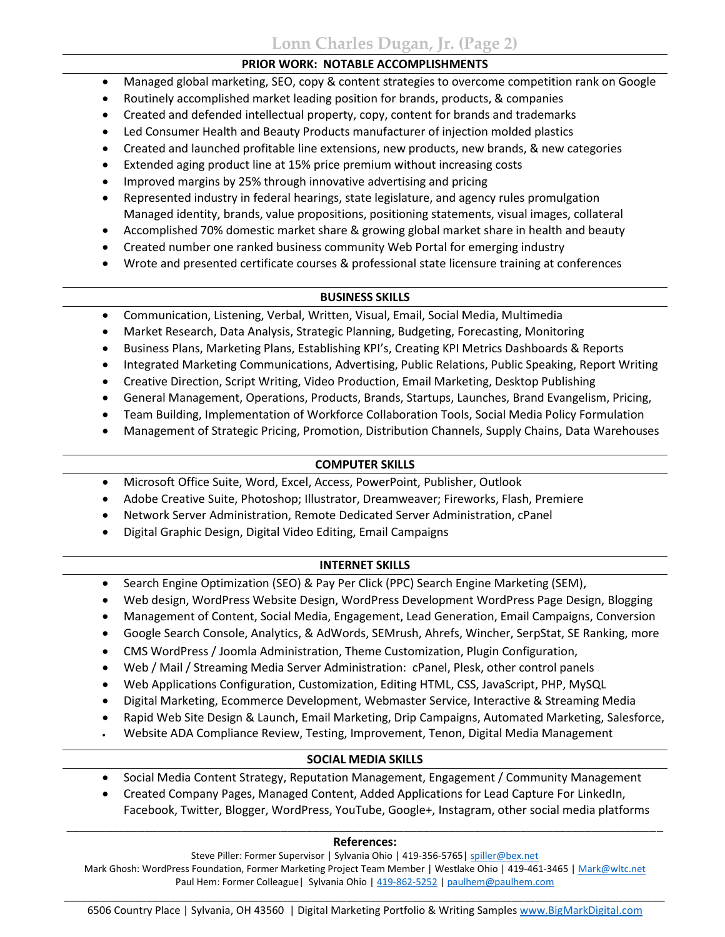**Lonn Charles Dugan, Jr. (Page 2)**

## **PRIOR WORK: NOTABLE ACCOMPLISHMENTS**

- Managed global marketing, SEO, copy & content strategies to overcome competition rank on Google
- Routinely accomplished market leading position for brands, products, & companies
- Created and defended intellectual property, copy, content for brands and trademarks
- Led Consumer Health and Beauty Products manufacturer of injection molded plastics
- Created and launched profitable line extensions, new products, new brands, & new categories
- Extended aging product line at 15% price premium without increasing costs
- Improved margins by 25% through innovative advertising and pricing
- Represented industry in federal hearings, state legislature, and agency rules promulgation Managed identity, brands, value propositions, positioning statements, visual images, collateral
- Accomplished 70% domestic market share & growing global market share in health and beauty
- Created number one ranked business community Web Portal for emerging industry
- Wrote and presented certificate courses & professional state licensure training at conferences

# **BUSINESS SKILLS**

- Communication, Listening, Verbal, Written, Visual, Email, Social Media, Multimedia
- Market Research, Data Analysis, Strategic Planning, Budgeting, Forecasting, Monitoring
- Business Plans, Marketing Plans, Establishing KPI's, Creating KPI Metrics Dashboards & Reports
- Integrated Marketing Communications, Advertising, Public Relations, Public Speaking, Report Writing
- Creative Direction, Script Writing, Video Production, Email Marketing, Desktop Publishing
- General Management, Operations, Products, Brands, Startups, Launches, Brand Evangelism, Pricing,
- Team Building, Implementation of Workforce Collaboration Tools, Social Media Policy Formulation
- Management of Strategic Pricing, Promotion, Distribution Channels, Supply Chains, Data Warehouses

# **COMPUTER SKILLS**

- Microsoft Office Suite, Word, Excel, Access, PowerPoint, Publisher, Outlook
- Adobe Creative Suite, Photoshop; Illustrator, Dreamweaver; Fireworks, Flash, Premiere
- Network Server Administration, Remote Dedicated Server Administration, cPanel
- Digital Graphic Design, Digital Video Editing, Email Campaigns

# **INTERNET SKILLS**

- Search Engine Optimization (SEO) & Pay Per Click (PPC) Search Engine Marketing (SEM),
- Web design, WordPress Website Design, WordPress Development WordPress Page Design, Blogging
- Management of Content, Social Media, Engagement, Lead Generation, Email Campaigns, Conversion
- Google Search Console, Analytics, & AdWords, SEMrush, Ahrefs, Wincher, SerpStat, SE Ranking, more
- CMS WordPress / Joomla Administration, Theme Customization, Plugin Configuration,
- Web / Mail / Streaming Media Server Administration: cPanel, Plesk, other control panels
- Web Applications Configuration, Customization, Editing HTML, CSS, JavaScript, PHP, MySQL
- Digital Marketing, Ecommerce Development, Webmaster Service, Interactive & Streaming Media
- Rapid Web Site Design & Launch, Email Marketing, Drip Campaigns, Automated Marketing, Salesforce,
- Website ADA Compliance Review, Testing, Improvement, Tenon, Digital Media Management

# **SOCIAL MEDIA SKILLS**

- Social Media Content Strategy, Reputation Management, Engagement / Community Management
- Created Company Pages, Managed Content, Added Applications for Lead Capture For LinkedIn, Facebook, Twitter, Blogger, WordPress, YouTube, Google+, Instagram, other social media platforms

### \_\_\_\_\_\_\_\_\_\_\_\_\_\_\_\_\_\_\_\_\_\_\_\_\_\_\_\_\_\_\_\_\_\_\_\_\_\_\_\_\_\_\_\_\_\_\_\_\_\_\_\_\_\_\_\_\_\_\_\_\_\_\_\_\_\_\_\_\_\_\_\_\_\_\_\_\_\_\_\_\_\_\_\_\_\_\_\_\_\_\_\_ **References:**

Steve Piller: Former Supervisor | Sylvania Ohio | 419-356-5765[| spiller@bex.net](mailto:spiller@bex.net) Mark Ghosh: WordPress Foundation, Former Marketing Project Team Member | Westlake Ohio | 419-461-3465 [| Mark@wltc.net](mailto:Mark@wltc.net) Paul Hem: Former Colleague | Sylvania Ohio [| 419-862-5252](tel:419-862-5252) [| paulhem@paulhem.com](mailto:paulhem@paulhem.com)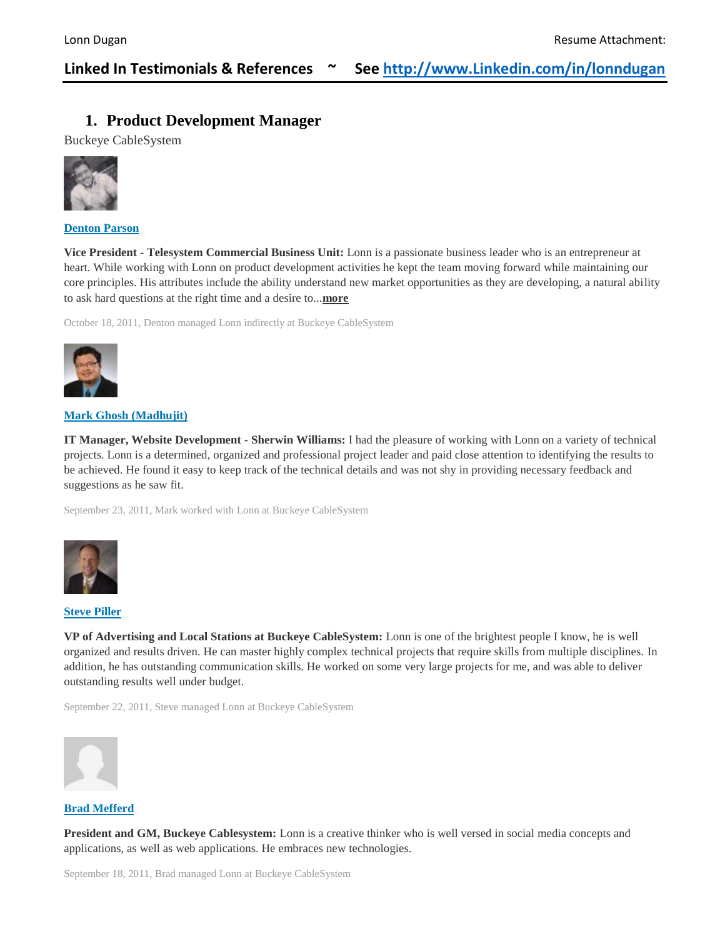# **Linked In Testimonials & References ~ See [http://www.Linkedin.com/in/lonndugan](http://www.linkedin.com/in/lonndugan)**

# **1. Product Development Manager**

Buckeye CableSystem



**[Denton](https://www.linkedin.com/profile/view?id=246508&authToken=3nBF) Parson**

**Vice President - Telesystem Commercial Business Unit:** Lonn is a passionate business leader who is an entrepreneur at heart. While working with Lonn on product development activities he kept the team moving forward while maintaining our core principles. His attributes include the ability understand new market opportunities as they are developing, a natural ability to ask hard questions at the right time and a desire to...**[more](https://www.linkedin.com/in/lonndugan)**

October 18, 2011, Denton managed Lonn indirectly at Buckeye CableSystem



#### **Mark Ghosh [\(Madhujit\)](https://www.linkedin.com/profile/view?id=5619798&authToken=B8sN)**

**IT Manager, Website Development - Sherwin Williams:** I had the pleasure of working with Lonn on a variety of technical projects. Lonn is a determined, organized and professional project leader and paid close attention to identifying the results to be achieved. He found it easy to keep track of the technical details and was not shy in providing necessary feedback and suggestions as he saw fit.

September 23, 2011, Mark worked with Lonn at Buckeye CableSystem



#### **Steve [Piller](https://www.linkedin.com/profile/view?id=15002910&authToken=LJgv)**

**VP of Advertising and Local Stations at Buckeye CableSystem:** Lonn is one of the brightest people I know, he is well organized and results driven. He can master highly complex technical projects that require skills from multiple disciplines. In addition, he has outstanding communication skills. He worked on some very large projects for me, and was able to deliver outstanding results well under budget.

September 22, 2011, Steve managed Lonn at Buckeye CableSystem



#### **Brad [Mefferd](https://www.linkedin.com/profile/view?id=15190832&authToken=x4Aj)**

**President and GM, Buckeye Cablesystem:** Lonn is a creative thinker who is well versed in social media concepts and applications, as well as web applications. He embraces new technologies.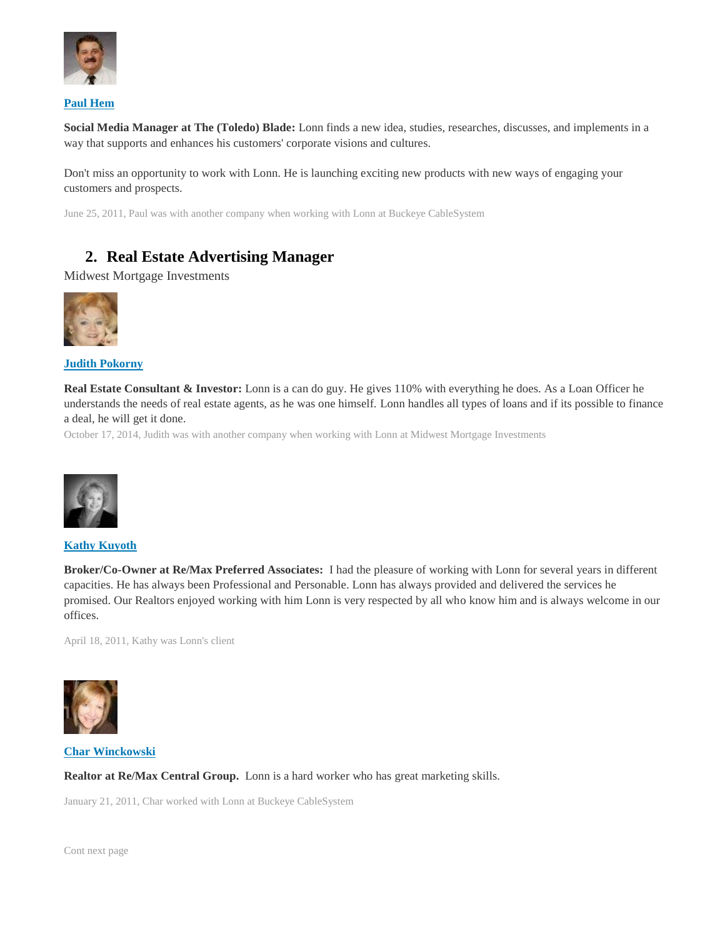

#### **Paul [Hem](https://www.linkedin.com/profile/view?id=15430993&authToken=v-5_)**

**Social Media Manager at The (Toledo) Blade:** Lonn finds a new idea, studies, researches, discusses, and implements in a way that supports and enhances his customers' corporate visions and cultures.

Don't miss an opportunity to work with Lonn. He is launching exciting new products with new ways of engaging your customers and prospects.

June 25, 2011, Paul was with another company when working with Lonn at Buckeye CableSystem

# **2. Real Estate Advertising Manager**

Midwest Mortgage Investments



**Judith [Pokorny](https://www.linkedin.com/profile/view?id=38028785&authToken=caIM)**

**Real Estate Consultant & Investor:** Lonn is a can do guy. He gives 110% with everything he does. As a Loan Officer he understands the needs of real estate agents, as he was one himself. Lonn handles all types of loans and if its possible to finance a deal, he will get it done.

October 17, 2014, Judith was with another company when working with Lonn at Midwest Mortgage Investments



**Kathy [Kuyoth](https://www.linkedin.com/profile/view?id=29229514&authToken=j_f4)**

**Broker/Co-Owner at Re/Max Preferred Associates:** I had the pleasure of working with Lonn for several years in different capacities. He has always been Professional and Personable. Lonn has always provided and delivered the services he promised. Our Realtors enjoyed working with him Lonn is very respected by all who know him and is always welcome in our offices.

April 18, 2011, Kathy was Lonn's client



**Char [Winckowski](https://www.linkedin.com/profile/view?id=46575788&authToken=ov5E)**

**Realtor at Re/Max Central Group.** Lonn is a hard worker who has great marketing skills.

January 21, 2011, Char worked with Lonn at Buckeye CableSystem

Cont next page